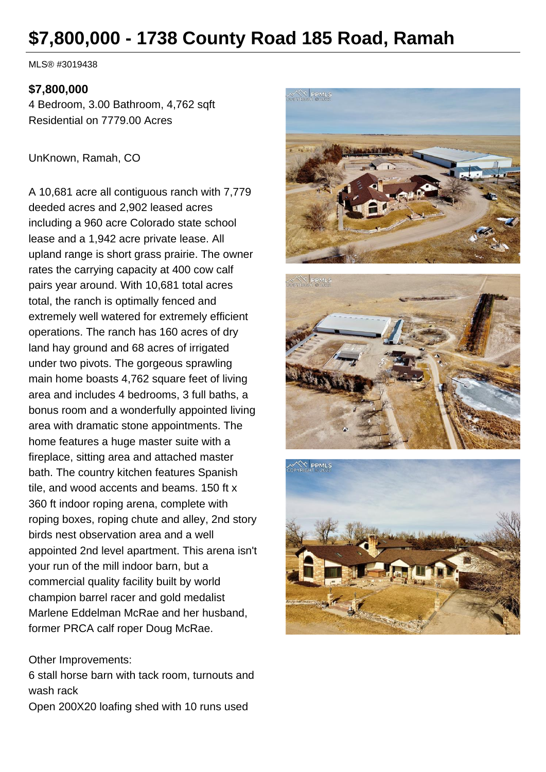# **\$7,800,000 - 1738 County Road 185 Road, Ramah**

MLS® #3019438

#### **\$7,800,000**

4 Bedroom, 3.00 Bathroom, 4,762 sqft Residential on 7779.00 Acres

UnKnown, Ramah, CO

A 10,681 acre all contiguous ranch with 7,779 deeded acres and 2,902 leased acres including a 960 acre Colorado state school lease and a 1,942 acre private lease. All upland range is short grass prairie. The owner rates the carrying capacity at 400 cow calf pairs year around. With 10,681 total acres total, the ranch is optimally fenced and extremely well watered for extremely efficient operations. The ranch has 160 acres of dry land hay ground and 68 acres of irrigated under two pivots. The gorgeous sprawling main home boasts 4,762 square feet of living area and includes 4 bedrooms, 3 full baths, a bonus room and a wonderfully appointed living area with dramatic stone appointments. The home features a huge master suite with a fireplace, sitting area and attached master bath. The country kitchen features Spanish tile, and wood accents and beams. 150 ft x 360 ft indoor roping arena, complete with roping boxes, roping chute and alley, 2nd story birds nest observation area and a well appointed 2nd level apartment. This arena isn't your run of the mill indoor barn, but a commercial quality facility built by world champion barrel racer and gold medalist Marlene Eddelman McRae and her husband, former PRCA calf roper Doug McRae.

#### Other Improvements:

6 stall horse barn with tack room, turnouts and wash rack

Open 200X20 loafing shed with 10 runs used





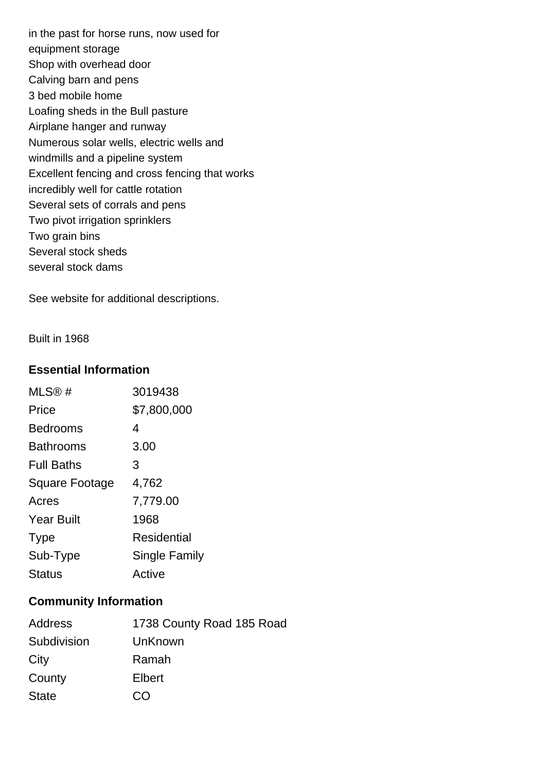in the past for horse runs, now used for equipment storage Shop with overhead door Calving barn and pens 3 bed mobile home Loafing sheds in the Bull pasture Airplane hanger and runway Numerous solar wells, electric wells and windmills and a pipeline system Excellent fencing and cross fencing that works incredibly well for cattle rotation Several sets of corrals and pens Two pivot irrigation sprinklers Two grain bins Several stock sheds several stock dams

See website for additional descriptions.

Built in 1968

#### **Essential Information**

| MLS@#                 | 3019438              |
|-----------------------|----------------------|
| Price                 | \$7,800,000          |
| <b>Bedrooms</b>       | 4                    |
| <b>Bathrooms</b>      | 3.00                 |
| <b>Full Baths</b>     | 3                    |
| <b>Square Footage</b> | 4,762                |
| Acres                 | 7,779.00             |
| <b>Year Built</b>     | 1968                 |
| <b>Type</b>           | Residential          |
| Sub-Type              | <b>Single Family</b> |
| <b>Status</b>         | Active               |

#### **Community Information**

| Address      | 1738 County Road 185 Road                           |
|--------------|-----------------------------------------------------|
| Subdivision  | UnKnown                                             |
| City         | Ramah                                               |
| County       | Elbert                                              |
| <b>State</b> | $\left( \begin{array}{c} \cdot \end{array} \right)$ |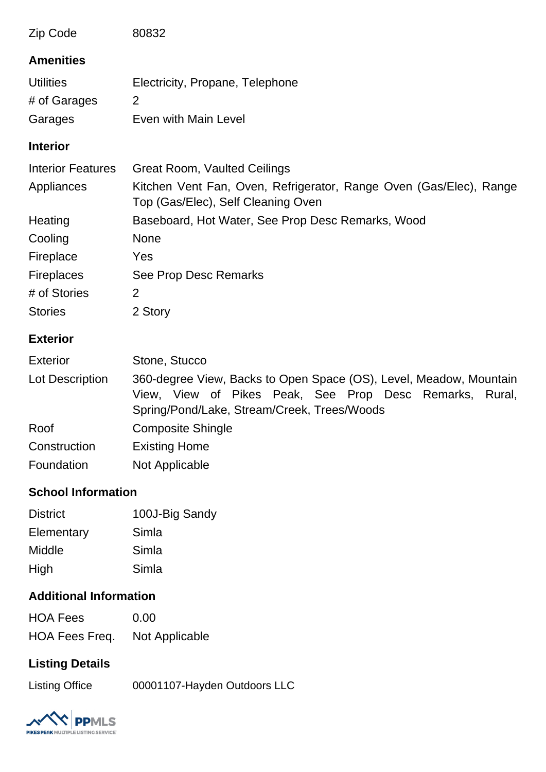| Zip Code                 | 80832                                                                                                                                                                        |
|--------------------------|------------------------------------------------------------------------------------------------------------------------------------------------------------------------------|
| <b>Amenities</b>         |                                                                                                                                                                              |
| <b>Utilities</b>         | Electricity, Propane, Telephone                                                                                                                                              |
| # of Garages             | 2                                                                                                                                                                            |
| Garages                  | Even with Main Level                                                                                                                                                         |
| <b>Interior</b>          |                                                                                                                                                                              |
| <b>Interior Features</b> | <b>Great Room, Vaulted Ceilings</b>                                                                                                                                          |
| Appliances               | Kitchen Vent Fan, Oven, Refrigerator, Range Oven (Gas/Elec), Range<br>Top (Gas/Elec), Self Cleaning Oven                                                                     |
| Heating                  | Baseboard, Hot Water, See Prop Desc Remarks, Wood                                                                                                                            |
| Cooling                  | <b>None</b>                                                                                                                                                                  |
| Fireplace                | Yes                                                                                                                                                                          |
| Fireplaces               | See Prop Desc Remarks                                                                                                                                                        |
| # of Stories             | 2                                                                                                                                                                            |
| <b>Stories</b>           | 2 Story                                                                                                                                                                      |
| <b>Exterior</b>          |                                                                                                                                                                              |
| <b>Exterior</b>          | Stone, Stucco                                                                                                                                                                |
| Lot Description          | 360-degree View, Backs to Open Space (OS), Level, Meadow, Mountain<br>View, View of Pikes Peak, See Prop Desc Remarks, Rural,<br>Spring/Pond/Lake, Stream/Creek, Trees/Woods |
| Roof                     | <b>Composite Shingle</b>                                                                                                                                                     |
| Construction             | <b>Existing Home</b>                                                                                                                                                         |

### **School Information**

| <b>District</b> | 100J-Big Sandy |
|-----------------|----------------|
| Elementary      | Simla          |
| Middle          | Simla          |
| High            | Simla          |

Foundation Not Applicable

## **Additional Information**

| <b>HOA Fees</b> | 0.00           |
|-----------------|----------------|
| HOA Fees Freq.  | Not Applicable |

# **Listing Details**

Listing Office 00001107-Hayden Outdoors LLC